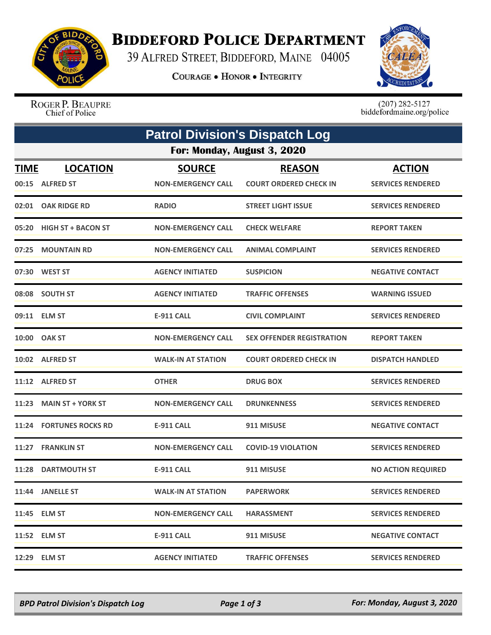

## **BIDDEFORD POLICE DEPARTMENT**

39 ALFRED STREET, BIDDEFORD, MAINE 04005

**COURAGE . HONOR . INTEGRITY** 



ROGER P. BEAUPRE Chief of Police

 $(207)$  282-5127<br>biddefordmaine.org/police

| <b>Patrol Division's Dispatch Log</b> |                                    |                                            |                                                |                                           |  |  |  |
|---------------------------------------|------------------------------------|--------------------------------------------|------------------------------------------------|-------------------------------------------|--|--|--|
| For: Monday, August 3, 2020           |                                    |                                            |                                                |                                           |  |  |  |
| <b>TIME</b>                           | <b>LOCATION</b><br>00:15 ALFRED ST | <b>SOURCE</b><br><b>NON-EMERGENCY CALL</b> | <b>REASON</b><br><b>COURT ORDERED CHECK IN</b> | <b>ACTION</b><br><b>SERVICES RENDERED</b> |  |  |  |
|                                       | 02:01 OAK RIDGE RD                 | <b>RADIO</b>                               | <b>STREET LIGHT ISSUE</b>                      | <b>SERVICES RENDERED</b>                  |  |  |  |
|                                       | 05:20 HIGH ST + BACON ST           | <b>NON-EMERGENCY CALL</b>                  | <b>CHECK WELFARE</b>                           | <b>REPORT TAKEN</b>                       |  |  |  |
|                                       | 07:25 MOUNTAIN RD                  | <b>NON-EMERGENCY CALL</b>                  | <b>ANIMAL COMPLAINT</b>                        | <b>SERVICES RENDERED</b>                  |  |  |  |
|                                       | 07:30 WEST ST                      | <b>AGENCY INITIATED</b>                    | <b>SUSPICION</b>                               | <b>NEGATIVE CONTACT</b>                   |  |  |  |
|                                       | 08:08 SOUTH ST                     | <b>AGENCY INITIATED</b>                    | <b>TRAFFIC OFFENSES</b>                        | <b>WARNING ISSUED</b>                     |  |  |  |
|                                       | 09:11 ELM ST                       | <b>E-911 CALL</b>                          | <b>CIVIL COMPLAINT</b>                         | <b>SERVICES RENDERED</b>                  |  |  |  |
|                                       | 10:00 OAK ST                       | <b>NON-EMERGENCY CALL</b>                  | <b>SEX OFFENDER REGISTRATION</b>               | <b>REPORT TAKEN</b>                       |  |  |  |
|                                       | 10:02 ALFRED ST                    | <b>WALK-IN AT STATION</b>                  | <b>COURT ORDERED CHECK IN</b>                  | <b>DISPATCH HANDLED</b>                   |  |  |  |
|                                       | 11:12 ALFRED ST                    | <b>OTHER</b>                               | <b>DRUG BOX</b>                                | <b>SERVICES RENDERED</b>                  |  |  |  |
|                                       | 11:23 MAIN ST + YORK ST            | <b>NON-EMERGENCY CALL</b>                  | <b>DRUNKENNESS</b>                             | <b>SERVICES RENDERED</b>                  |  |  |  |
|                                       | <b>11:24 FORTUNES ROCKS RD</b>     | <b>E-911 CALL</b>                          | 911 MISUSE                                     | <b>NEGATIVE CONTACT</b>                   |  |  |  |
|                                       | 11:27 FRANKLIN ST                  | <b>NON-EMERGENCY CALL</b>                  | <b>COVID-19 VIOLATION</b>                      | <b>SERVICES RENDERED</b>                  |  |  |  |
|                                       | 11:28 DARTMOUTH ST                 | <b>E-911 CALL</b>                          | 911 MISUSE                                     | <b>NO ACTION REQUIRED</b>                 |  |  |  |
|                                       | 11:44 JANELLE ST                   | <b>WALK-IN AT STATION</b>                  | <b>PAPERWORK</b>                               | <b>SERVICES RENDERED</b>                  |  |  |  |
|                                       | 11:45 ELM ST                       | <b>NON-EMERGENCY CALL</b>                  | <b>HARASSMENT</b>                              | <b>SERVICES RENDERED</b>                  |  |  |  |
|                                       | 11:52 ELM ST                       | <b>E-911 CALL</b>                          | 911 MISUSE                                     | <b>NEGATIVE CONTACT</b>                   |  |  |  |
|                                       | 12:29 ELM ST                       | <b>AGENCY INITIATED</b>                    | <b>TRAFFIC OFFENSES</b>                        | <b>SERVICES RENDERED</b>                  |  |  |  |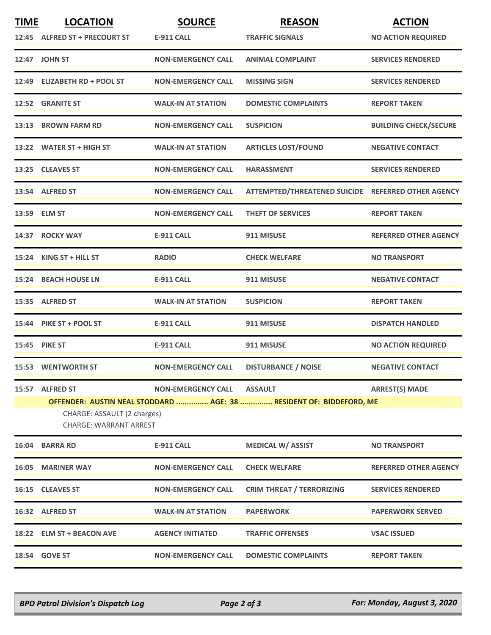| <b>TIME</b> | <b>LOCATION</b><br>12:45 ALFRED ST + PRECOURT ST                                                                                    | <b>SOURCE</b><br><b>E-911 CALL</b> | <b>REASON</b><br><b>TRAFFIC SIGNALS</b>            | <b>ACTION</b><br><b>NO ACTION REQUIRED</b> |  |
|-------------|-------------------------------------------------------------------------------------------------------------------------------------|------------------------------------|----------------------------------------------------|--------------------------------------------|--|
|             | 12:47 JOHN ST                                                                                                                       | <b>NON-EMERGENCY CALL</b>          | <b>ANIMAL COMPLAINT</b>                            | <b>SERVICES RENDERED</b>                   |  |
|             | 12:49 ELIZABETH RD + POOL ST                                                                                                        | <b>NON-EMERGENCY CALL</b>          | <b>MISSING SIGN</b>                                | <b>SERVICES RENDERED</b>                   |  |
|             | 12:52 GRANITE ST                                                                                                                    | <b>WALK-IN AT STATION</b>          | <b>DOMESTIC COMPLAINTS</b>                         | <b>REPORT TAKEN</b>                        |  |
|             | 13:13 BROWN FARM RD                                                                                                                 | <b>NON-EMERGENCY CALL</b>          | <b>SUSPICION</b>                                   | <b>BUILDING CHECK/SECURE</b>               |  |
|             | 13:22 WATER ST + HIGH ST                                                                                                            | <b>WALK-IN AT STATION</b>          | <b>ARTICLES LOST/FOUND</b>                         | <b>NEGATIVE CONTACT</b>                    |  |
|             | 13:25 CLEAVES ST                                                                                                                    | <b>NON-EMERGENCY CALL</b>          | <b>HARASSMENT</b>                                  | <b>SERVICES RENDERED</b>                   |  |
|             | 13:54 ALFRED ST                                                                                                                     | <b>NON-EMERGENCY CALL</b>          | ATTEMPTED/THREATENED SUICIDE REFERRED OTHER AGENCY |                                            |  |
|             | 13:59 ELM ST                                                                                                                        | <b>NON-EMERGENCY CALL</b>          | <b>THEFT OF SERVICES</b>                           | <b>REPORT TAKEN</b>                        |  |
|             | 14:37 ROCKY WAY                                                                                                                     | <b>E-911 CALL</b>                  | 911 MISUSE                                         | <b>REFERRED OTHER AGENCY</b>               |  |
|             | 15:24 KING ST + HILL ST                                                                                                             | <b>RADIO</b>                       | <b>CHECK WELFARE</b>                               | <b>NO TRANSPORT</b>                        |  |
|             | <b>15:24 BEACH HOUSE LN</b>                                                                                                         | <b>E-911 CALL</b>                  | 911 MISUSE                                         | <b>NEGATIVE CONTACT</b>                    |  |
|             | 15:35 ALFRED ST                                                                                                                     | <b>WALK-IN AT STATION</b>          | <b>SUSPICION</b>                                   | <b>REPORT TAKEN</b>                        |  |
|             | 15:44 PIKE ST + POOL ST                                                                                                             | <b>E-911 CALL</b>                  | 911 MISUSE                                         | <b>DISPATCH HANDLED</b>                    |  |
|             | 15:45 PIKE ST                                                                                                                       | <b>E-911 CALL</b>                  | 911 MISUSE                                         | <b>NO ACTION REQUIRED</b>                  |  |
|             | <b>15:53 WENTWORTH ST</b>                                                                                                           | <b>NON-EMERGENCY CALL</b>          | <b>DISTURBANCE / NOISE</b>                         | <b>NEGATIVE CONTACT</b>                    |  |
|             | 15:57 ALFRED ST                                                                                                                     | <b>NON-EMERGENCY CALL</b>          | <b>ASSAULT</b>                                     | <b>ARREST(S) MADE</b>                      |  |
|             | OFFENDER: AUSTIN NEAL STODDARD  AGE: 38  RESIDENT OF: BIDDEFORD, ME<br>CHARGE: ASSAULT (2 charges)<br><b>CHARGE: WARRANT ARREST</b> |                                    |                                                    |                                            |  |
|             | 16:04 BARRA RD                                                                                                                      | <b>E-911 CALL</b>                  | <b>MEDICAL W/ ASSIST</b>                           | <b>NO TRANSPORT</b>                        |  |
|             | <b>16:05 MARINER WAY</b>                                                                                                            | <b>NON-EMERGENCY CALL</b>          | <b>CHECK WELFARE</b>                               | <b>REFERRED OTHER AGENCY</b>               |  |
|             | 16:15 CLEAVES ST                                                                                                                    | <b>NON-EMERGENCY CALL</b>          | <b>CRIM THREAT / TERRORIZING</b>                   | <b>SERVICES RENDERED</b>                   |  |
|             | 16:32 ALFRED ST                                                                                                                     | <b>WALK-IN AT STATION</b>          | <b>PAPERWORK</b>                                   | <b>PAPERWORK SERVED</b>                    |  |
|             | 18:22 ELM ST + BEACON AVE                                                                                                           | <b>AGENCY INITIATED</b>            | <b>TRAFFIC OFFENSES</b>                            | <b>VSAC ISSUED</b>                         |  |
|             | <b>18:54 GOVE ST</b>                                                                                                                | <b>NON-EMERGENCY CALL</b>          | <b>DOMESTIC COMPLAINTS</b>                         | <b>REPORT TAKEN</b>                        |  |

*BPD Patrol Division's Dispatch Log Page 2 of 3 For: Monday, August 3, 2020*